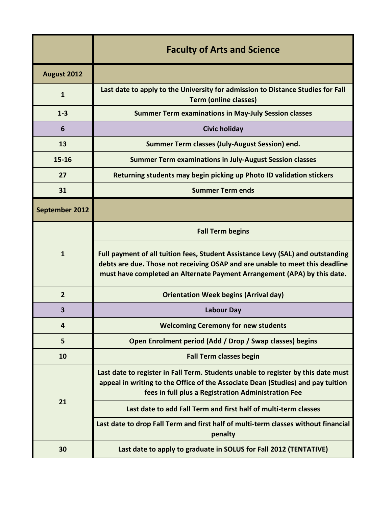|                         | <b>Faculty of Arts and Science</b>                                                                                                                                                                                                          |
|-------------------------|---------------------------------------------------------------------------------------------------------------------------------------------------------------------------------------------------------------------------------------------|
| August 2012             |                                                                                                                                                                                                                                             |
| $\mathbf{1}$            | Last date to apply to the University for admission to Distance Studies for Fall<br><b>Term (online classes)</b>                                                                                                                             |
| $1 - 3$                 | <b>Summer Term examinations in May-July Session classes</b>                                                                                                                                                                                 |
| 6                       | <b>Civic holiday</b>                                                                                                                                                                                                                        |
| 13                      | Summer Term classes (July-August Session) end.                                                                                                                                                                                              |
| $15 - 16$               | <b>Summer Term examinations in July-August Session classes</b>                                                                                                                                                                              |
| 27                      | Returning students may begin picking up Photo ID validation stickers                                                                                                                                                                        |
| 31                      | <b>Summer Term ends</b>                                                                                                                                                                                                                     |
| September 2012          |                                                                                                                                                                                                                                             |
|                         | <b>Fall Term begins</b>                                                                                                                                                                                                                     |
| $\mathbf{1}$            | Full payment of all tuition fees, Student Assistance Levy (SAL) and outstanding<br>debts are due. Those not receiving OSAP and are unable to meet this deadline<br>must have completed an Alternate Payment Arrangement (APA) by this date. |
| $\overline{2}$          | <b>Orientation Week begins (Arrival day)</b>                                                                                                                                                                                                |
| 3                       | <b>Labour Day</b>                                                                                                                                                                                                                           |
| $\overline{\mathbf{4}}$ | <b>Welcoming Ceremony for new students</b>                                                                                                                                                                                                  |
| 5                       | Open Enrolment period (Add / Drop / Swap classes) begins                                                                                                                                                                                    |
| 10                      | <b>Fall Term classes begin</b>                                                                                                                                                                                                              |
| 21                      | Last date to register in Fall Term. Students unable to register by this date must<br>appeal in writing to the Office of the Associate Dean (Studies) and pay tuition<br>fees in full plus a Registration Administration Fee                 |
|                         | Last date to add Fall Term and first half of multi-term classes                                                                                                                                                                             |
|                         | Last date to drop Fall Term and first half of multi-term classes without financial<br>penalty                                                                                                                                               |
| 30                      | Last date to apply to graduate in SOLUS for Fall 2012 (TENTATIVE)                                                                                                                                                                           |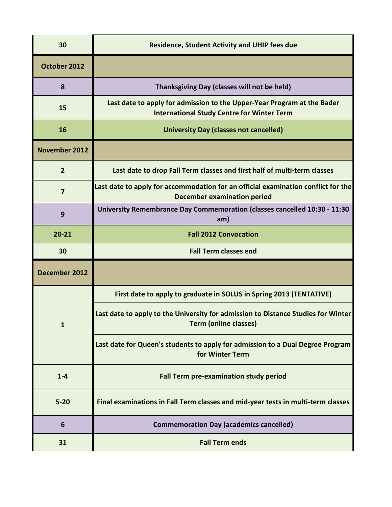| 30                   | <b>Residence, Student Activity and UHIP fees due</b>                                                                         |
|----------------------|------------------------------------------------------------------------------------------------------------------------------|
| October 2012         |                                                                                                                              |
| 8                    | Thanksgiving Day (classes will not be held)                                                                                  |
| 15                   | Last date to apply for admission to the Upper-Year Program at the Bader<br><b>International Study Centre for Winter Term</b> |
| 16                   | <b>University Day (classes not cancelled)</b>                                                                                |
| <b>November 2012</b> |                                                                                                                              |
| $\overline{2}$       | Last date to drop Fall Term classes and first half of multi-term classes                                                     |
| $\overline{7}$       | Last date to apply for accommodation for an official examination conflict for the<br><b>December examination period</b>      |
| 9                    | University Remembrance Day Commemoration (classes cancelled 10:30 - 11:30<br>am)                                             |
| $20 - 21$            | <b>Fall 2012 Convocation</b>                                                                                                 |
|                      |                                                                                                                              |
| 30                   | <b>Fall Term classes end</b>                                                                                                 |
| December 2012        |                                                                                                                              |
|                      | First date to apply to graduate in SOLUS in Spring 2013 (TENTATIVE)                                                          |
| 1                    | Last date to apply to the University for admission to Distance Studies for Winter<br><b>Term (online classes)</b>            |
|                      | Last date for Queen's students to apply for admission to a Dual Degree Program<br>for Winter Term                            |
| $1 - 4$              | <b>Fall Term pre-examination study period</b>                                                                                |
| $5 - 20$             | Final examinations in Fall Term classes and mid-year tests in multi-term classes                                             |
| 6                    | <b>Commemoration Day (academics cancelled)</b>                                                                               |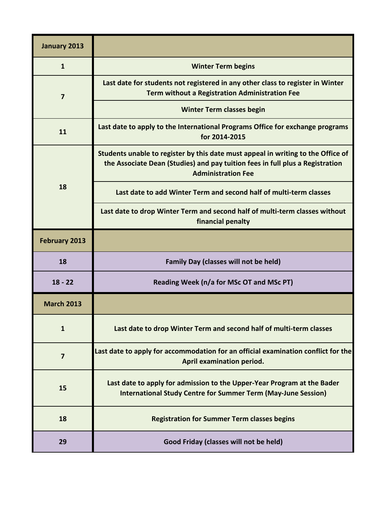| <b>January 2013</b> |                                                                                                                                                                                                |
|---------------------|------------------------------------------------------------------------------------------------------------------------------------------------------------------------------------------------|
| $\mathbf{1}$        | <b>Winter Term begins</b>                                                                                                                                                                      |
| 7                   | Last date for students not registered in any other class to register in Winter<br><b>Term without a Registration Administration Fee</b>                                                        |
|                     | <b>Winter Term classes begin</b>                                                                                                                                                               |
| 11                  | Last date to apply to the International Programs Office for exchange programs<br>for 2014-2015                                                                                                 |
| 18                  | Students unable to register by this date must appeal in writing to the Office of<br>the Associate Dean (Studies) and pay tuition fees in full plus a Registration<br><b>Administration Fee</b> |
|                     | Last date to add Winter Term and second half of multi-term classes                                                                                                                             |
|                     | Last date to drop Winter Term and second half of multi-term classes without<br>financial penalty                                                                                               |
| February 2013       |                                                                                                                                                                                                |
| 18                  | <b>Family Day (classes will not be held)</b>                                                                                                                                                   |
| $18 - 22$           | Reading Week (n/a for MSc OT and MSc PT)                                                                                                                                                       |
| <b>March 2013</b>   |                                                                                                                                                                                                |
| $\mathbf{1}$        | Last date to drop Winter Term and second half of multi-term classes                                                                                                                            |
| $\overline{7}$      | Last date to apply for accommodation for an official examination conflict for the<br>April examination period.                                                                                 |
| 15                  | Last date to apply for admission to the Upper-Year Program at the Bader<br><b>International Study Centre for Summer Term (May-June Session)</b>                                                |
| 18                  | <b>Registration for Summer Term classes begins</b>                                                                                                                                             |
| 29                  | Good Friday (classes will not be held)                                                                                                                                                         |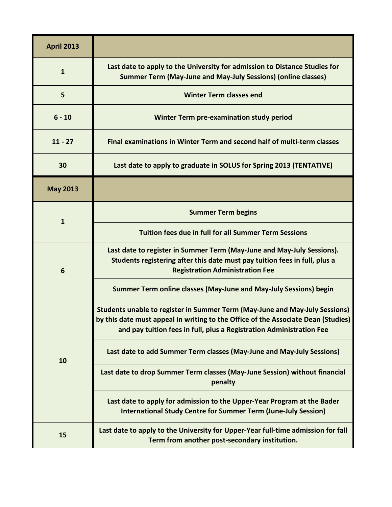| <b>April 2013</b> |                                                                                                                                                                                                                                          |
|-------------------|------------------------------------------------------------------------------------------------------------------------------------------------------------------------------------------------------------------------------------------|
| $\mathbf{1}$      | Last date to apply to the University for admission to Distance Studies for<br><b>Summer Term (May-June and May-July Sessions) (online classes)</b>                                                                                       |
| 5                 | <b>Winter Term classes end</b>                                                                                                                                                                                                           |
| $6 - 10$          | Winter Term pre-examination study period                                                                                                                                                                                                 |
| $11 - 27$         | Final examinations in Winter Term and second half of multi-term classes                                                                                                                                                                  |
| 30                | Last date to apply to graduate in SOLUS for Spring 2013 (TENTATIVE)                                                                                                                                                                      |
| <b>May 2013</b>   |                                                                                                                                                                                                                                          |
| $\mathbf{1}$      | <b>Summer Term begins</b>                                                                                                                                                                                                                |
|                   | <b>Tuition fees due in full for all Summer Term Sessions</b>                                                                                                                                                                             |
| 6                 | Last date to register in Summer Term (May-June and May-July Sessions).<br>Students registering after this date must pay tuition fees in full, plus a<br><b>Registration Administration Fee</b>                                           |
|                   | Summer Term online classes (May-June and May-July Sessions) begin                                                                                                                                                                        |
| 10                | Students unable to register in Summer Term (May-June and May-July Sessions)<br>by this date must appeal in writing to the Office of the Associate Dean (Studies)<br>and pay tuition fees in full, plus a Registration Administration Fee |
|                   | Last date to add Summer Term classes (May-June and May-July Sessions)                                                                                                                                                                    |
|                   | Last date to drop Summer Term classes (May-June Session) without financial<br>penalty                                                                                                                                                    |
|                   | Last date to apply for admission to the Upper-Year Program at the Bader<br><b>International Study Centre for Summer Term (June-July Session)</b>                                                                                         |
| 15                | Last date to apply to the University for Upper-Year full-time admission for fall<br>Term from another post-secondary institution.                                                                                                        |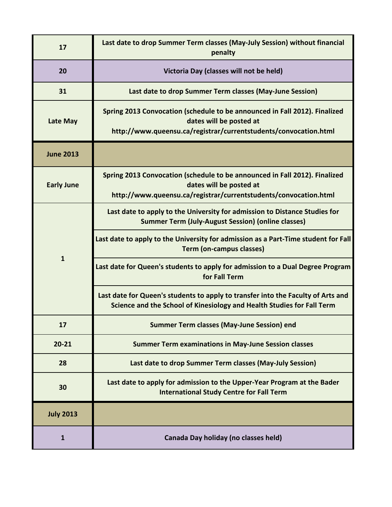| 17                | Last date to drop Summer Term classes (May-July Session) without financial<br>penalty                                                                                     |
|-------------------|---------------------------------------------------------------------------------------------------------------------------------------------------------------------------|
| 20                | Victoria Day (classes will not be held)                                                                                                                                   |
| 31                | Last date to drop Summer Term classes (May-June Session)                                                                                                                  |
| Late May          | Spring 2013 Convocation (schedule to be announced in Fall 2012). Finalized<br>dates will be posted at<br>http://www.queensu.ca/registrar/currentstudents/convocation.html |
| <b>June 2013</b>  |                                                                                                                                                                           |
| <b>Early June</b> | Spring 2013 Convocation (schedule to be announced in Fall 2012). Finalized<br>dates will be posted at<br>http://www.queensu.ca/registrar/currentstudents/convocation.html |
| $\mathbf{1}$      | Last date to apply to the University for admission to Distance Studies for<br><b>Summer Term (July-August Session) (online classes)</b>                                   |
|                   | Last date to apply to the University for admission as a Part-Time student for Fall<br><b>Term (on-campus classes)</b>                                                     |
|                   | Last date for Queen's students to apply for admission to a Dual Degree Program<br>for Fall Term                                                                           |
|                   | Last date for Queen's students to apply to transfer into the Faculty of Arts and<br>Science and the School of Kinesiology and Health Studies for Fall Term                |
| 17                | <b>Summer Term classes (May-June Session) end</b>                                                                                                                         |
| $20 - 21$         | <b>Summer Term examinations in May-June Session classes</b>                                                                                                               |
| 28                | Last date to drop Summer Term classes (May-July Session)                                                                                                                  |
| 30                | Last date to apply for admission to the Upper-Year Program at the Bader<br><b>International Study Centre for Fall Term</b>                                                |
| <b>July 2013</b>  |                                                                                                                                                                           |
| $\mathbf{1}$      | Canada Day holiday (no classes held)                                                                                                                                      |